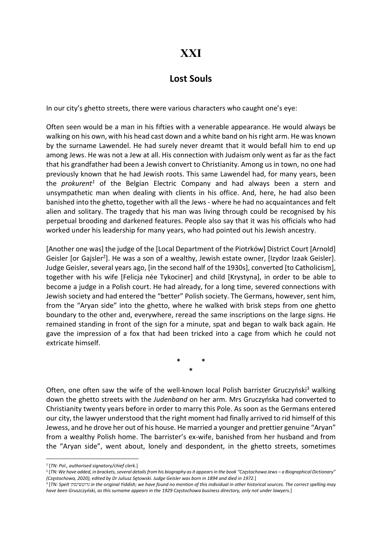## XXI

## Lost Souls

In our city's ghetto streets, there were various characters who caught one's eye:

Often seen would be a man in his fifties with a venerable appearance. He would always be walking on his own, with his head cast down and a white band on his right arm. He was known by the surname Lawendel. He had surely never dreamt that it would befall him to end up among Jews. He was not a Jew at all. His connection with Judaism only went as far as the fact that his grandfather had been a Jewish convert to Christianity. Among us in town, no one had previously known that he had Jewish roots. This same Lawendel had, for many years, been the *prokurent<sup>1</sup>* of the Belgian Electric Company and had always been a stern and unsympathetic man when dealing with clients in his office. And, here, he had also been banished into the ghetto, together with all the Jews - where he had no acquaintances and felt alien and solitary. The tragedy that his man was living through could be recognised by his perpetual brooding and darkened features. People also say that it was his officials who had worked under his leadership for many years, who had pointed out his Jewish ancestry.

[Another one was] the judge of the [Local Department of the Piotrków] District Court [Arnold] Geisler [or Gajsler<sup>2</sup>]. He was a son of a wealthy, Jewish estate owner, [Izydor Izaak Geisler]. Judge Geisler, several years ago, [in the second half of the 1930s], converted [to Catholicism], together with his wife [Felicja née Tykociner] and child [Krystyna], in order to be able to become a judge in a Polish court. He had already, for a long time, severed connections with Jewish society and had entered the "better" Polish society. The Germans, however, sent him, from the "Aryan side" into the ghetto, where he walked with brisk steps from one ghetto boundary to the other and, everywhere, reread the same inscriptions on the large signs. He remained standing in front of the sign for a minute, spat and began to walk back again. He gave the impression of a fox that had been tricked into a cage from which he could not extricate himself.

> \* \* \*

Often, one often saw the wife of the well-known local Polish barrister Gruczyński<sup>3</sup> walking down the ghetto streets with the Judenband on her arm. Mrs Gruczyńska had converted to Christianity twenty years before in order to marry this Pole. As soon as the Germans entered our city, the lawyer understood that the right moment had finally arrived to rid himself of this Jewess, and he drove her out of his house. He married a younger and prettier genuine "Aryan" from a wealthy Polish home. The barrister's ex-wife, banished from her husband and from the "Aryan side", went about, lonely and despondent, in the ghetto streets, sometimes

<sup>&</sup>lt;sup>1</sup> [TN: Pol., authorised signatory/chief clerk.]

<sup>2</sup> [TN: We have added, in brackets, several details from his biography as it appears in the book "Częstochowa Jews – a Biographical Dictionary" (Częstochowa, 2020), edited by Dr Juliusz Sętowski. Judge Geisler was born in 1894 and died in 1972.]

 $^3$  [TN: Spelt גרוטשינסק in the original Yiddish; we have found no mention of this individual in other historical sources. The correct spelling may have been Gruszczyński, as this surname appears in the 1929 Częstochowa business directory, only not under lawyers.]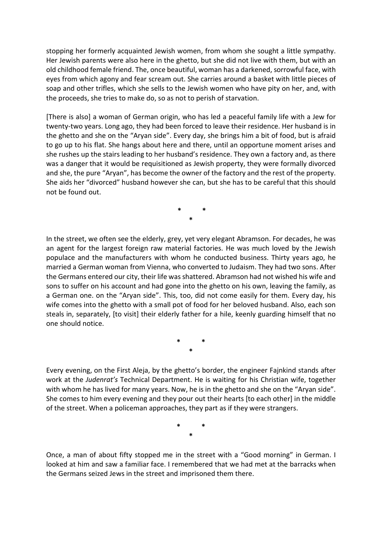stopping her formerly acquainted Jewish women, from whom she sought a little sympathy. Her Jewish parents were also here in the ghetto, but she did not live with them, but with an old childhood female friend. The, once beautiful, woman has a darkened, sorrowful face, with eyes from which agony and fear scream out. She carries around a basket with little pieces of soap and other trifles, which she sells to the Jewish women who have pity on her, and, with the proceeds, she tries to make do, so as not to perish of starvation.

[There is also] a woman of German origin, who has led a peaceful family life with a Jew for twenty-two years. Long ago, they had been forced to leave their residence. Her husband is in the ghetto and she on the "Aryan side". Every day, she brings him a bit of food, but is afraid to go up to his flat. She hangs about here and there, until an opportune moment arises and she rushes up the stairs leading to her husband's residence. They own a factory and, as there was a danger that it would be requisitioned as Jewish property, they were formally divorced and she, the pure "Aryan", has become the owner of the factory and the rest of the property. She aids her "divorced" husband however she can, but she has to be careful that this should not be found out.

> \* \* \*

In the street, we often see the elderly, grey, yet very elegant Abramson. For decades, he was an agent for the largest foreign raw material factories. He was much loved by the Jewish populace and the manufacturers with whom he conducted business. Thirty years ago, he married a German woman from Vienna, who converted to Judaism. They had two sons. After the Germans entered our city, their life was shattered. Abramson had not wished his wife and sons to suffer on his account and had gone into the ghetto on his own, leaving the family, as a German one. on the "Aryan side". This, too, did not come easily for them. Every day, his wife comes into the ghetto with a small pot of food for her beloved husband. Also, each son steals in, separately, [to visit] their elderly father for a hile, keenly guarding himself that no one should notice.

> \* \* \*

Every evening, on the First Aleja, by the ghetto's border, the engineer Fajnkind stands after work at the Judenrat's Technical Department. He is waiting for his Christian wife, together with whom he has lived for many years. Now, he is in the ghetto and she on the "Aryan side". She comes to him every evening and they pour out their hearts [to each other] in the middle of the street. When a policeman approaches, they part as if they were strangers.

> \* \* \*

Once, a man of about fifty stopped me in the street with a "Good morning" in German. I looked at him and saw a familiar face. I remembered that we had met at the barracks when the Germans seized Jews in the street and imprisoned them there.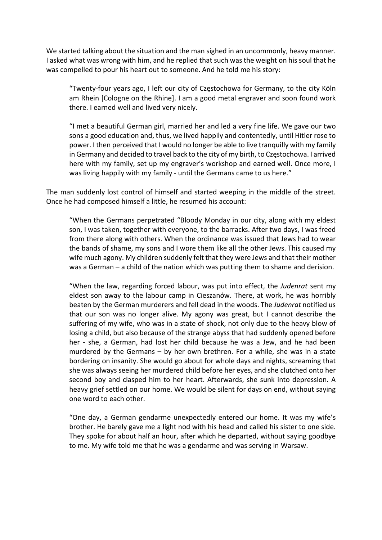We started talking about the situation and the man sighed in an uncommonly, heavy manner. I asked what was wrong with him, and he replied that such was the weight on his soul that he was compelled to pour his heart out to someone. And he told me his story:

"Twenty-four years ago, I left our city of Częstochowa for Germany, to the city Köln am Rhein [Cologne on the Rhine]. I am a good metal engraver and soon found work there. I earned well and lived very nicely.

"I met a beautiful German girl, married her and led a very fine life. We gave our two sons a good education and, thus, we lived happily and contentedly, until Hitler rose to power. I then perceived that I would no longer be able to live tranquilly with my family in Germany and decided to travel back to the city of my birth, to Częstochowa. I arrived here with my family, set up my engraver's workshop and earned well. Once more, I was living happily with my family - until the Germans came to us here."

The man suddenly lost control of himself and started weeping in the middle of the street. Once he had composed himself a little, he resumed his account:

"When the Germans perpetrated "Bloody Monday in our city, along with my eldest son, I was taken, together with everyone, to the barracks. After two days, I was freed from there along with others. When the ordinance was issued that Jews had to wear the bands of shame, my sons and I wore them like all the other Jews. This caused my wife much agony. My children suddenly felt that they were Jews and that their mother was a German – a child of the nation which was putting them to shame and derision.

"When the law, regarding forced labour, was put into effect, the Judenrat sent my eldest son away to the labour camp in Cieszanów. There, at work, he was horribly beaten by the German murderers and fell dead in the woods. The Judenrat notified us that our son was no longer alive. My agony was great, but I cannot describe the suffering of my wife, who was in a state of shock, not only due to the heavy blow of losing a child, but also because of the strange abyss that had suddenly opened before her - she, a German, had lost her child because he was a Jew, and he had been murdered by the Germans – by her own brethren. For a while, she was in a state bordering on insanity. She would go about for whole days and nights, screaming that she was always seeing her murdered child before her eyes, and she clutched onto her second boy and clasped him to her heart. Afterwards, she sunk into depression. A heavy grief settled on our home. We would be silent for days on end, without saying one word to each other.

"One day, a German gendarme unexpectedly entered our home. It was my wife's brother. He barely gave me a light nod with his head and called his sister to one side. They spoke for about half an hour, after which he departed, without saying goodbye to me. My wife told me that he was a gendarme and was serving in Warsaw.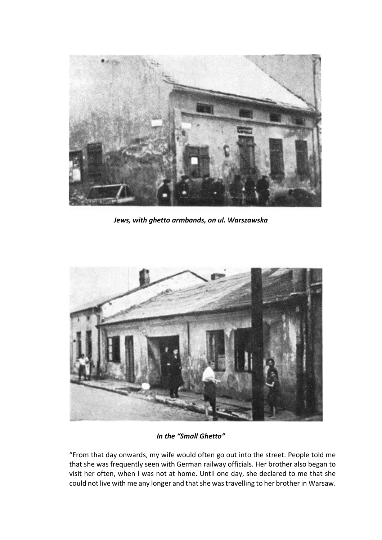

Jews, with ghetto armbands, on ul. Warszawska



In the "Small Ghetto"

"From that day onwards, my wife would often go out into the street. People told me that she was frequently seen with German railway officials. Her brother also began to visit her often, when I was not at home. Until one day, she declared to me that she could not live with me any longer and that she was travelling to her brother in Warsaw.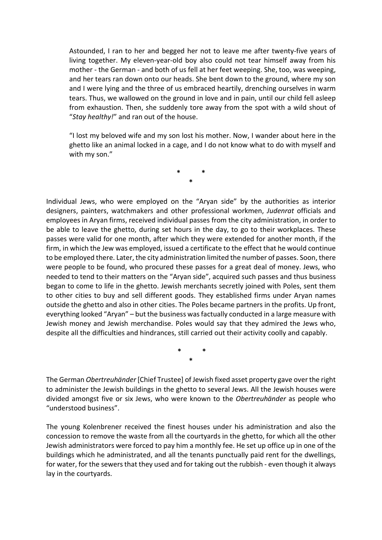Astounded, I ran to her and begged her not to leave me after twenty-five years of living together. My eleven-year-old boy also could not tear himself away from his mother - the German - and both of us fell at her feet weeping. She, too, was weeping, and her tears ran down onto our heads. She bent down to the ground, where my son and I were lying and the three of us embraced heartily, drenching ourselves in warm tears. Thus, we wallowed on the ground in love and in pain, until our child fell asleep from exhaustion. Then, she suddenly tore away from the spot with a wild shout of "Stay healthy!" and ran out of the house.

"I lost my beloved wife and my son lost his mother. Now, I wander about here in the ghetto like an animal locked in a cage, and I do not know what to do with myself and with my son."

> \* \* \*

Individual Jews, who were employed on the "Aryan side" by the authorities as interior designers, painters, watchmakers and other professional workmen, Judenrat officials and employees in Aryan firms, received individual passes from the city administration, in order to be able to leave the ghetto, during set hours in the day, to go to their workplaces. These passes were valid for one month, after which they were extended for another month, if the firm, in which the Jew was employed, issued a certificate to the effect that he would continue to be employed there. Later, the city administration limited the number of passes. Soon, there were people to be found, who procured these passes for a great deal of money. Jews, who needed to tend to their matters on the "Aryan side", acquired such passes and thus business began to come to life in the ghetto. Jewish merchants secretly joined with Poles, sent them to other cities to buy and sell different goods. They established firms under Aryan names outside the ghetto and also in other cities. The Poles became partners in the profits. Up front, everything looked "Aryan" – but the business was factually conducted in a large measure with Jewish money and Jewish merchandise. Poles would say that they admired the Jews who, despite all the difficulties and hindrances, still carried out their activity coolly and capably.

> \* \* \*

The German Obertreuhänder [Chief Trustee] of Jewish fixed asset property gave over the right to administer the Jewish buildings in the ghetto to several Jews. All the Jewish houses were divided amongst five or six Jews, who were known to the Obertreuhänder as people who "understood business".

The young Kolenbrener received the finest houses under his administration and also the concession to remove the waste from all the courtyards in the ghetto, for which all the other Jewish administrators were forced to pay him a monthly fee. He set up office up in one of the buildings which he administrated, and all the tenants punctually paid rent for the dwellings, for water, for the sewers that they used and for taking out the rubbish - even though it always lay in the courtyards.